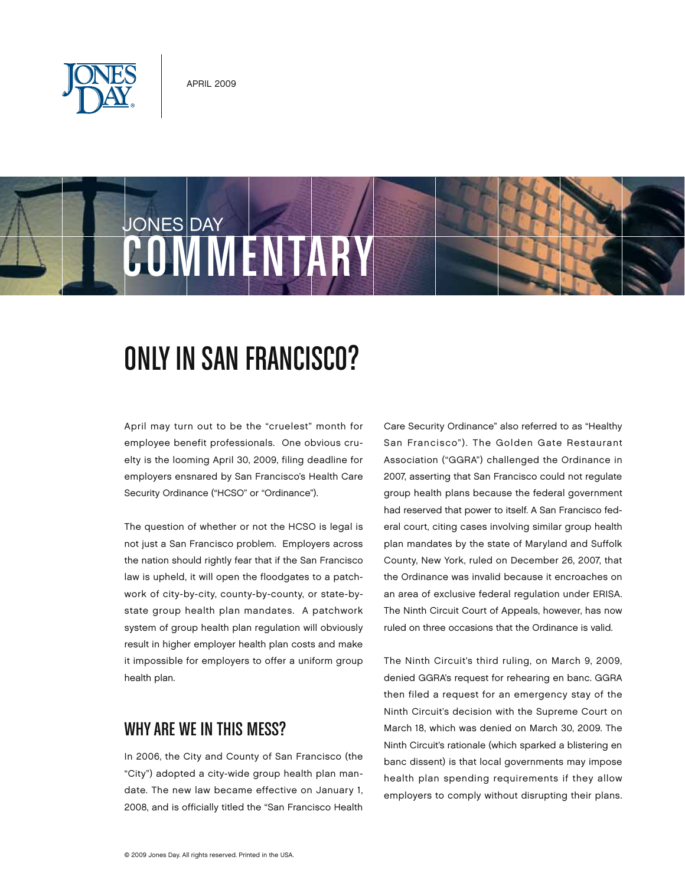







# ONLY IN SAN FRANCISCO?

April may turn out to be the "cruelest" month for employee benefit professionals. One obvious cruelty is the looming April 30, 2009, filing deadline for employers ensnared by San Francisco's Health Care Security Ordinance ("HCSO" or "Ordinance").

The question of whether or not the HCSO is legal is not just a San Francisco problem. Employers across the nation should rightly fear that if the San Francisco law is upheld, it will open the floodgates to a patchwork of city-by-city, county-by-county, or state-bystate group health plan mandates. A patchwork system of group health plan regulation will obviously result in higher employer health plan costs and make it impossible for employers to offer a uniform group health plan.

# WHY ARE WE IN THIS MESS?

In 2006, the City and County of San Francisco (the "City") adopted a city-wide group health plan mandate. The new law became effective on January 1, 2008, and is officially titled the "San Francisco Health Care Security Ordinance" also referred to as "Healthy San Francisco"). The Golden Gate Restaurant Association ("GGRA") challenged the Ordinance in 2007, asserting that San Francisco could not regulate group health plans because the federal government had reserved that power to itself. A San Francisco federal court, citing cases involving similar group health plan mandates by the state of Maryland and Suffolk County, New York, ruled on December 26, 2007, that the Ordinance was invalid because it encroaches on an area of exclusive federal regulation under ERISA. The Ninth Circuit Court of Appeals, however, has now ruled on three occasions that the Ordinance is valid.

The Ninth Circuit's third ruling, on March 9, 2009, denied GGRA's request for rehearing en banc. GGRA then filed a request for an emergency stay of the Ninth Circuit's decision with the Supreme Court on March 18, which was denied on March 30, 2009. The Ninth Circuit's rationale (which sparked a blistering en banc dissent) is that local governments may impose health plan spending requirements if they allow employers to comply without disrupting their plans.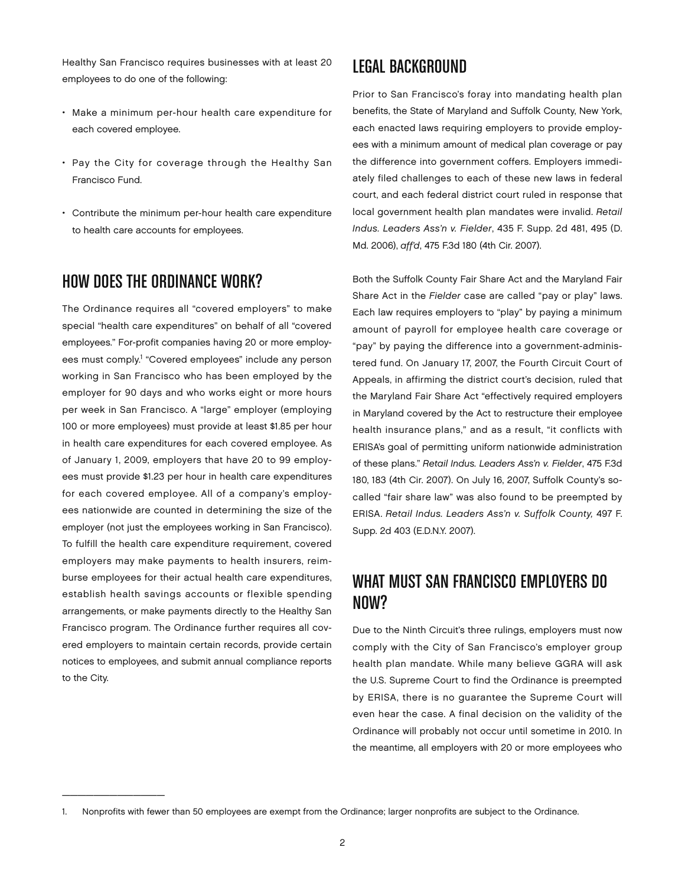Healthy San Francisco requires businesses with at least 20 employees to do one of the following:

- • Make a minimum per-hour health care expenditure for each covered employee.
- Pay the City for coverage through the Healthy San Francisco Fund.
- • Contribute the minimum per-hour health care expenditure to health care accounts for employees.

### How Does the Ordinance Work?

The Ordinance requires all "covered employers" to make special "health care expenditures" on behalf of all "covered employees." For-profit companies having 20 or more employees must comply.<sup>1</sup> "Covered employees" include any person working in San Francisco who has been employed by the employer for 90 days and who works eight or more hours per week in San Francisco. A "large" employer (employing 100 or more employees) must provide at least \$1.85 per hour in health care expenditures for each covered employee. As of January 1, 2009, employers that have 20 to 99 employees must provide \$1.23 per hour in health care expenditures for each covered employee. All of a company's employees nationwide are counted in determining the size of the employer (not just the employees working in San Francisco). To fulfill the health care expenditure requirement, covered employers may make payments to health insurers, reimburse employees for their actual health care expenditures, establish health savings accounts or flexible spending arrangements, or make payments directly to the Healthy San Francisco program. The Ordinance further requires all covered employers to maintain certain records, provide certain notices to employees, and submit annual compliance reports to the City.

\_\_\_\_\_\_\_\_\_\_\_\_\_

#### Legal Background

Prior to San Francisco's foray into mandating health plan benefits, the State of Maryland and Suffolk County, New York, each enacted laws requiring employers to provide employees with a minimum amount of medical plan coverage or pay the difference into government coffers. Employers immediately filed challenges to each of these new laws in federal court, and each federal district court ruled in response that local government health plan mandates were invalid. *Retail Indus. Leaders Ass'n v. Fielder*, 435 F. Supp. 2d 481, 495 (D. Md. 2006), *aff'd*, 475 F.3d 180 (4th Cir. 2007).

Both the Suffolk County Fair Share Act and the Maryland Fair Share Act in the *Fielder* case are called "pay or play" laws. Each law requires employers to "play" by paying a minimum amount of payroll for employee health care coverage or "pay" by paying the difference into a government-administered fund. On January 17, 2007, the Fourth Circuit Court of Appeals, in affirming the district court's decision, ruled that the Maryland Fair Share Act "effectively required employers in Maryland covered by the Act to restructure their employee health insurance plans," and as a result, "it conflicts with ERISA's goal of permitting uniform nationwide administration of these plans." *Retail Indus. Leaders Ass'n v. Fielder*, 475 F.3d 180, 183 (4th Cir. 2007). On July 16, 2007, Suffolk County's socalled "fair share law" was also found to be preempted by ERISA. *Retail Indus. Leaders Ass'n v. Suffolk County,* 497 F. Supp. 2d 403 (E.D.N.Y. 2007).

# WHAT MUST SAN FRANCISCO EMPLOYERS DO NOW?

Due to the Ninth Circuit's three rulings, employers must now comply with the City of San Francisco's employer group health plan mandate. While many believe GGRA will ask the U.S. Supreme Court to find the Ordinance is preempted by ERISA, there is no guarantee the Supreme Court will even hear the case. A final decision on the validity of the Ordinance will probably not occur until sometime in 2010. In the meantime, all employers with 20 or more employees who

<sup>1.</sup> Nonprofits with fewer than 50 employees are exempt from the Ordinance; larger nonprofits are subject to the Ordinance.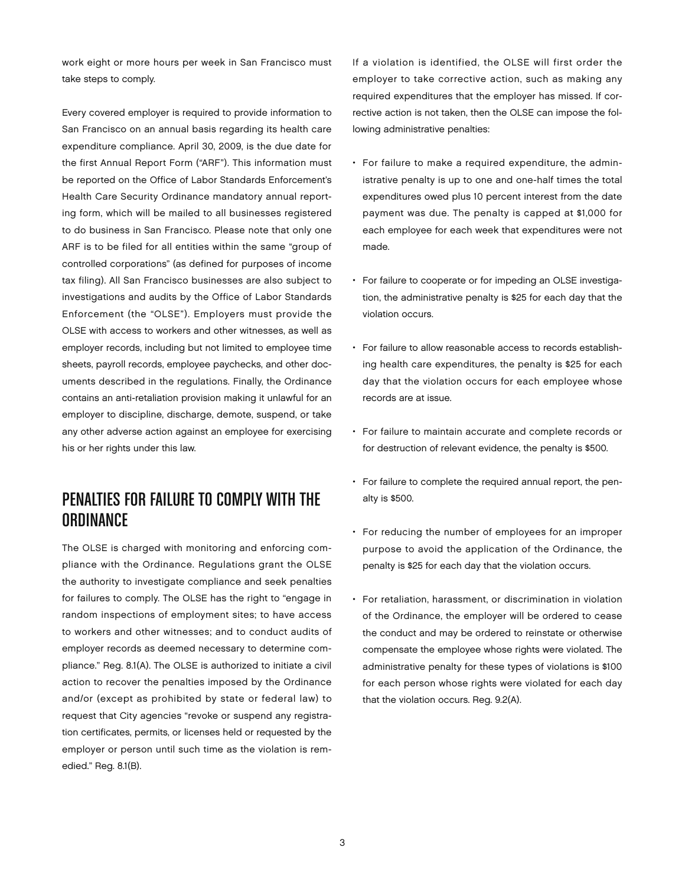work eight or more hours per week in San Francisco must take steps to comply.

Every covered employer is required to provide information to San Francisco on an annual basis regarding its health care expenditure compliance. April 30, 2009, is the due date for the first Annual Report Form ("ARF"). This information must be reported on the Office of Labor Standards Enforcement's Health Care Security Ordinance mandatory annual reporting form, which will be mailed to all businesses registered to do business in San Francisco. Please note that only one ARF is to be filed for all entities within the same "group of controlled corporations" (as defined for purposes of income tax filing). All San Francisco businesses are also subject to investigations and audits by the Office of Labor Standards Enforcement (the "OLSE"). Employers must provide the OLSE with access to workers and other witnesses, as well as employer records, including but not limited to employee time sheets, payroll records, employee paychecks, and other documents described in the regulations. Finally, the Ordinance contains an anti-retaliation provision making it unlawful for an employer to discipline, discharge, demote, suspend, or take any other adverse action against an employee for exercising his or her rights under this law.

# Penalties for Failure to Comply With the **ORDINANCE**

The OLSE is charged with monitoring and enforcing compliance with the Ordinance. Regulations grant the OLSE the authority to investigate compliance and seek penalties for failures to comply. The OLSE has the right to "engage in random inspections of employment sites; to have access to workers and other witnesses; and to conduct audits of employer records as deemed necessary to determine compliance." Reg. 8.1(A). The OLSE is authorized to initiate a civil action to recover the penalties imposed by the Ordinance and/or (except as prohibited by state or federal law) to request that City agencies "revoke or suspend any registration certificates, permits, or licenses held or requested by the employer or person until such time as the violation is remedied." Reg. 8.1(B).

If a violation is identified, the OLSE will first order the employer to take corrective action, such as making any required expenditures that the employer has missed. If corrective action is not taken, then the OLSE can impose the following administrative penalties:

- • For failure to make a required expenditure, the administrative penalty is up to one and one-half times the total expenditures owed plus 10 percent interest from the date payment was due. The penalty is capped at \$1,000 for each employee for each week that expenditures were not made.
- For failure to cooperate or for impeding an OLSE investigation, the administrative penalty is \$25 for each day that the violation occurs.
- • For failure to allow reasonable access to records establishing health care expenditures, the penalty is \$25 for each day that the violation occurs for each employee whose records are at issue.
- • For failure to maintain accurate and complete records or for destruction of relevant evidence, the penalty is \$500.
- For failure to complete the required annual report, the penalty is \$500.
- • For reducing the number of employees for an improper purpose to avoid the application of the Ordinance, the penalty is \$25 for each day that the violation occurs.
- • For retaliation, harassment, or discrimination in violation of the Ordinance, the employer will be ordered to cease the conduct and may be ordered to reinstate or otherwise compensate the employee whose rights were violated. The administrative penalty for these types of violations is \$100 for each person whose rights were violated for each day that the violation occurs. Reg. 9.2(A).